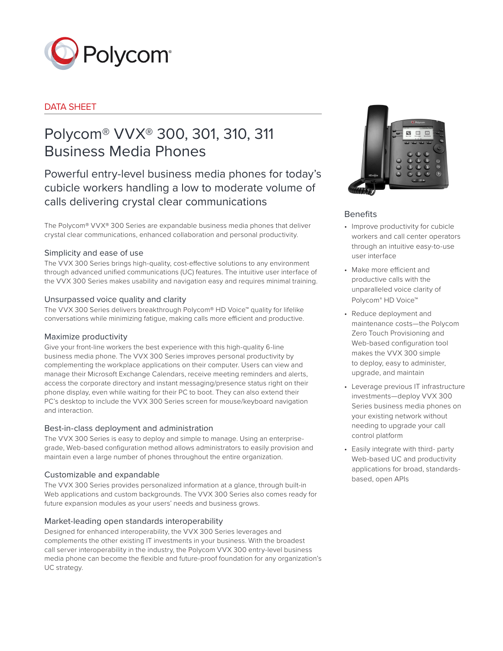

# DATA SHEET

# Polycom® VVX® 300, 301, 310, 311 Business Media Phones

Powerful entry-level business media phones for today's cubicle workers handling a low to moderate volume of calls delivering crystal clear communications

The Polycom® VVX® 300 Series are expandable business media phones that deliver crystal clear communications, enhanced collaboration and personal productivity.

# Simplicity and ease of use

The VVX 300 Series brings high-quality, cost-effective solutions to any environment through advanced unified communications (UC) features. The intuitive user interface of the VVX 300 Series makes usability and navigation easy and requires minimal training.

# Unsurpassed voice quality and clarity

The VVX 300 Series delivers breakthrough Polycom® HD Voice™ quality for lifelike conversations while minimizing fatigue, making calls more efficient and productive.

# Maximize productivity

Give your front-line workers the best experience with this high-quality 6-line business media phone. The VVX 300 Series improves personal productivity by complementing the workplace applications on their computer. Users can view and manage their Microsoft Exchange Calendars, receive meeting reminders and alerts, access the corporate directory and instant messaging/presence status right on their phone display, even while waiting for their PC to boot. They can also extend their PC's desktop to include the VVX 300 Series screen for mouse/keyboard navigation and interaction.

# Best-in-class deployment and administration

The VVX 300 Series is easy to deploy and simple to manage. Using an enterprisegrade, Web-based configuration method allows administrators to easily provision and maintain even a large number of phones throughout the entire organization.

# Customizable and expandable

The VVX 300 Series provides personalized information at a glance, through built-in Web applications and custom backgrounds. The VVX 300 Series also comes ready for future expansion modules as your users' needs and business grows.

# Market-leading open standards interoperability

Designed for enhanced interoperability, the VVX 300 Series leverages and complements the other existing IT investments in your business. With the broadest call server interoperability in the industry, the Polycom VVX 300 entry-level business media phone can become the flexible and future-proof foundation for any organization's UC strategy.



# Benefits

- Improve productivity for cubicle workers and call center operators through an intuitive easy-to-use user interface
- Make more efficient and productive calls with the unparalleled voice clarity of Polycom® HD Voice™
- Reduce deployment and maintenance costs—the Polycom Zero Touch Provisioning and Web-based configuration tool makes the VVX 300 simple to deploy, easy to administer, upgrade, and maintain
- Leverage previous IT infrastructure investments—deploy VVX 300 Series business media phones on your existing network without needing to upgrade your call control platform
- Easily integrate with third- party Web-based UC and productivity applications for broad, standardsbased, open APIs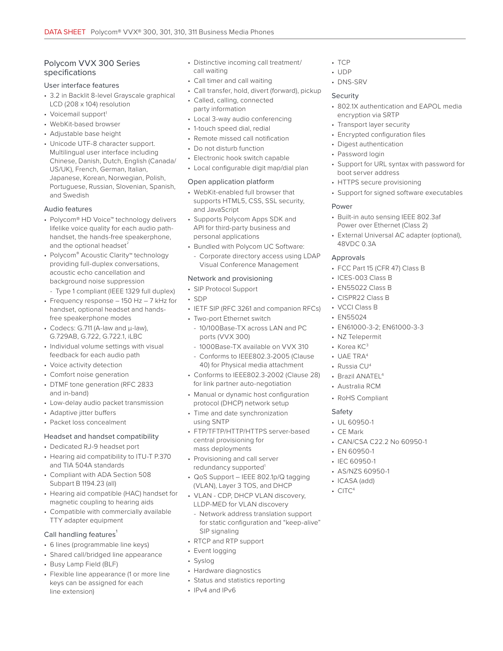# Polycom VVX 300 Series specifications

#### User interface features

- 3.2 in Backlit 8-level Grayscale graphical LCD (208 x 104) resolution
- Voicemail support<sup>1</sup>
- WebKit-based browser
- Adjustable base height
- Unicode UTF-8 character support. Multilingual user interface including Chinese, Danish, Dutch, English (Canada/ US/UK), French, German, Italian, Japanese, Korean, Norwegian, Polish, Portuguese, Russian, Slovenian, Spanish, and Swedish

## Audio features

- Polycom® HD Voice™ technology delivers lifelike voice quality for each audio pathhandset, the hands-free speakerphone, and the optional headset<sup>2</sup>
- Polycom® Acoustic Clarity™ technology providing full-duplex conversations, acoustic echo cancellation and background noise suppression
	- Type 1 compliant (IEEE 1329 full duplex)
- Frequency response 150 Hz 7 kHz for handset, optional headset and handsfree speakerphone modes
- Codecs: G.711 (A-law and μ-law), G.729AB, G.722, G.722.1, iLBC
- Individual volume settings with visual feedback for each audio path
- Voice activity detection
- Comfort noise generation
- DTMF tone generation (RFC 2833 and in-band)
- Low-delay audio packet transmission
- Adaptive jitter buffers
- Packet loss concealment

## Headset and handset compatibility

- Dedicated RJ-9 headset port
- Hearing aid compatibility to ITU-T P.370 and TIA 504A standards
- Compliant with ADA Section 508 Subpart B 1194.23 (all)
- Hearing aid compatible (HAC) handset for magnetic coupling to hearing aids
- Compatible with commercially available TTY adapter equipment

## Call handling features<sup>1</sup>

- 6 lines (programmable line keys)
- Shared call/bridged line appearance
- Busy Lamp Field (BLF)
- Flexible line appearance (1 or more line keys can be assigned for each line extension)
- Distinctive incoming call treatment/ call waiting
- Call timer and call waiting
- Call transfer, hold, divert (forward), pickup
- Called, calling, connected party information
- Local 3-way audio conferencing
- 1-touch speed dial, redial
- Remote missed call notification
- Do not disturb function
- Electronic hook switch capable
- Local configurable digit map/dial plan

#### Open application platform

- WebKit-enabled full browser that supports HTML5, CSS, SSL security, and JavaScript
- Supports Polycom Apps SDK and API for third-party business and personal applications
- Bundled with Polycom UC Software:
- Corporate directory access using LDAP Visual Conference Management

## Network and provisioning

- SIP Protocol Support
- SDP
- IETF SIP (RFC 3261 and companion RFCs)
- Two-port Ethernet switch
- 10/100Base-TX across LAN and PC ports (VVX 300)
- 1000Base-TX available on VVX 310
- Conforms to IEEE802.3-2005 (Clause 40) for Physical media attachment
- Conforms to IEEE802.3-2002 (Clause 28) for link partner auto-negotiation
- Manual or dynamic host configuration protocol (DHCP) network setup
- Time and date synchronization using SNTP
- FTP/TFTP/HTTP/HTTPS server-based central provisioning for mass deployments
- Provisioning and call server redundancy supported<sup>1</sup>
- QoS Support IEEE 802.1p/Q tagging (VLAN), Layer 3 TOS, and DHCP
- VLAN CDP, DHCP VLAN discovery, LLDP-MED for VLAN discovery
	- Network address translation support for static configuration and "keep-alive" SIP signaling
- RTCP and RTP support
- Event logging
- Syslog
- Hardware diagnostics
- Status and statistics reporting
- IPv4 and IPv6
- TCP
- UDP
- DNS-SRV

## Security

- 802.1X authentication and EAPOL media encryption via SRTP
- Transport layer security
- Encrypted configuration files
- Digest authentication
- Password login
- Support for URL syntax with password for boot server address
- HTTPS secure provisioning
- Support for signed software executables

## Power

- Built-in auto sensing IEEE 802.3af Power over Ethernet (Class 2)
- External Universal AC adapter (optional), 48VDC 0.3A

#### Approvals

- FCC Part 15 (CFR 47) Class B
- ICES-003 Class B
- EN55022 Class B
- CISPR22 Class B
- VCCI Class B
- EN55024
- EN61000-3-2; EN61000-3-3

• CAN/CSA C22.2 No 60950-1

- NZ Telepermit
- Korea KC<sup>3</sup>
- UAE TRA4
- Russia CU<sup>4</sup>
- Brazil ANATEL<sup>4</sup>
- Australia RCM

• UL 60950-1 • CE Mark

• EN 60950-1 • IEC 60950-1 • AS/NZS 60950-1 • ICASA (add)  $\cdot$  CITC<sup>4</sup>

• RoHS Compliant

## Safety